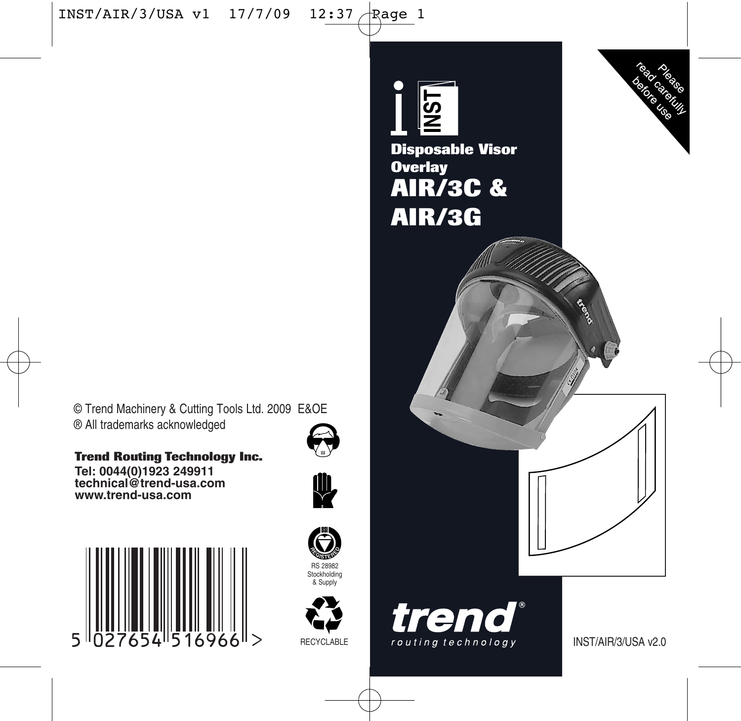© Trend Machinery & Cutting Tools Ltd. 2009 E&OE ® All trademarks acknowledged

**Trend Routing Technology Inc.**

**Tel: 0044(0)1923 249911 technical@trend-usa.com www.trend-usa.com**







& Supply



read ratios **AST Disposable Visor Overlay AIR/3C & AIR/3G** trend

routing technology

INST/AIR/3/USA v2.0